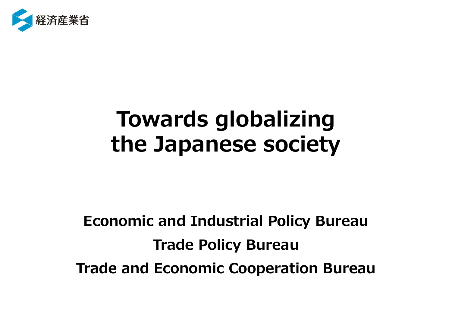

# **Towards globalizing the Japanese society**

**Economic and Industrial Policy Bureau Trade Policy Bureau Trade and Economic Cooperation Bureau**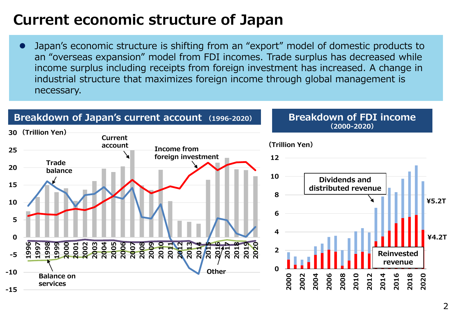## **Current economic structure of Japan**

⚫ Japan's economic structure is shifting from an "export" model of domestic products to an "overseas expansion" model from FDI incomes. Trade surplus has decreased while income surplus including receipts from foreign investment has increased. A change in industrial structure that maximizes foreign income through global management is necessary.

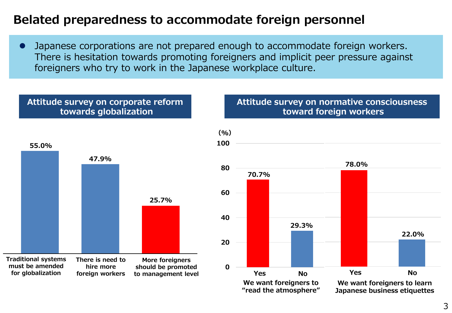### **Belated preparedness to accommodate foreign personnel**

⚫ Japanese corporations are not prepared enough to accommodate foreign workers. There is hesitation towards promoting foreigners and implicit peer pressure against foreigners who try to work in the Japanese workplace culture.

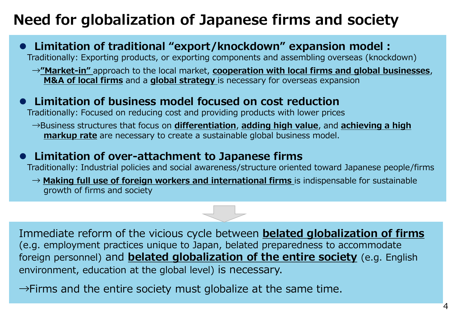## **Need for globalization of Japanese firms and society**

⚫ **Limitation of traditional "export/knockdown" expansion model:** Traditionally: Exporting products, or exporting components and assembling overseas (knockdown) →**"Market-in"** approach to the local market, **cooperation with local firms and global businesses**, **M&A of local firms** and a **global strategy** is necessary for overseas expansion

### ⚫ **Limitation of business model focused on cost reduction**

Traditionally: Focused on reducing cost and providing products with lower prices

→Business structures that focus on **differentiation**, **adding high value**, and **achieving a high markup rate** are necessary to create a sustainable global business model.

### ⚫ **Limitation of over-attachment to Japanese firms**

Traditionally: Industrial policies and social awareness/structure oriented toward Japanese people/firms

→ **Making full use of foreign workers and international firms** is indispensable for sustainable growth of firms and society



Immediate reform of the vicious cycle between **belated globalization of firms**  (e.g. employment practices unique to Japan, belated preparedness to accommodate foreign personnel) and **belated globalization of the entire society** (e.g. English environment, education at the global level) is necessary.

 $\rightarrow$ Firms and the entire society must globalize at the same time.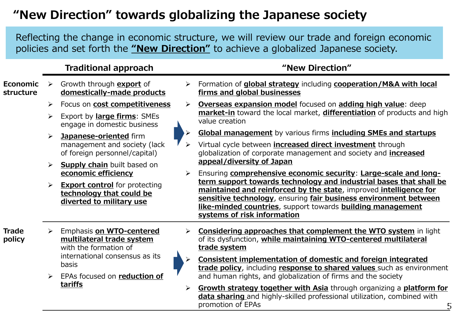### **"New Direction" towards globalizing the Japanese society**

Reflecting the change in economic structure, we will review our trade and foreign economic policies and set forth the **"New Direction"** to achieve a globalized Japanese society.

#### **Traditional approach 1988 1988 "New Direction"**

- **Economic structure** ➢ Growth through **export** of **domestically-made products** ➢ Focus on **cost competitiveness** ➢ Export by **large firms**: SMEs engage in domestic business ➢ **Japanese-oriented** firm management and society (lack of foreign personnel/capital) ➢ **Supply chain** built based on **economic efficiency** ➢ **Export control** for protecting **technology that could be diverted to military use** ➢ Formation of **global strategy** including **cooperation/M&A with local firms and global businesses** ➢ **Overseas expansion model** focused on **adding high value**: deep **market-in** toward the local market, **differentiation** of products and high value creation ➢ **Global management** by various firms **including SMEs and startups** ➢ Virtual cycle between **increased direct investment** through globalization of corporate management and society and **increased appeal/diversity of Japan** ➢ Ensuring **comprehensive economic security**: **Large-scale and longterm support towards technology and industrial bases that shall be maintained and reinforced by the state**, improved **intelligence for sensitive technology**, ensuring **fair business environment between like-minded countries**, support towards **building management systems of risk information Trade policy** ➢ Emphasis **on WTO-centered multilateral trade system**  with the formation of international consensus as its basis ➢ EPAs focused on **reduction of tariffs** ➢ **Considering approaches that complement the WTO system** in light of its dysfunction, **while maintaining WTO-centered multilateral trade system** ➢ **Consistent implementation of domestic and foreign integrated trade policy**, including **response to shared values** such as environment and human rights, and globalization of firms and the society
	- 5 ➢ **Growth strategy together with Asia** through organizing a **platform for data sharing** and highly-skilled professional utilization, combined with promotion of EPAs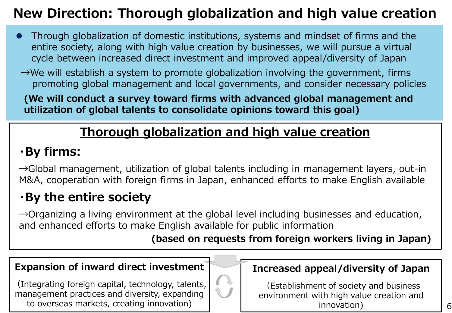## **New Direction: Thorough globalization and high value creation**

- ⚫ Through globalization of domestic institutions, systems and mindset of firms and the entire society, along with high value creation by businesses, we will pursue a virtual cycle between increased direct investment and improved appeal/diversity of Japan
- $\rightarrow$ We will establish a system to promote globalization involving the government, firms promoting global management and local governments, and consider necessary policies

**(We will conduct a survey toward firms with advanced global management and utilization of global talents to consolidate opinions toward this goal)**

## **Thorough globalization and high value creation**

## **・By firms:**

 $\rightarrow$ Global management, utilization of global talents including in management layers, out-in M&A, cooperation with foreign firms in Japan, enhanced efforts to make English available

## **・By the entire society**

 $\rightarrow$ Organizing a living environment at the global level including businesses and education, and enhanced efforts to make English available for public information

### **(based on requests from foreign workers living in Japan)**

#### **Expansion of inward direct investment**

(Integrating foreign capital, technology, talents, management practices and diversity, expanding to overseas markets, creating innovation)



### **Increased appeal/diversity of Japan**

(Establishment of society and business environment with high value creation and innovation)